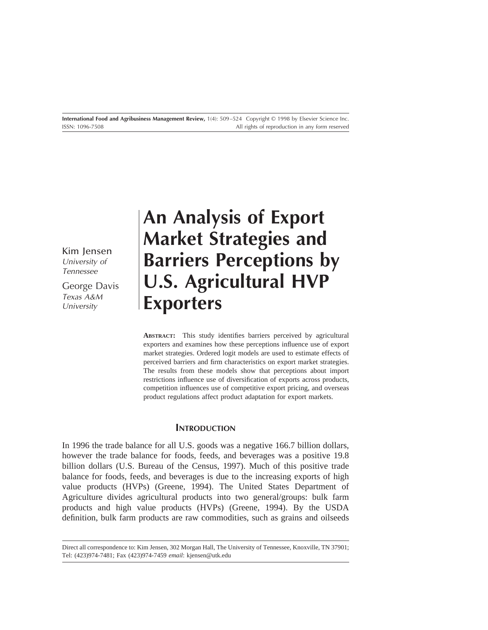**International Food and Agribusiness Management Review,** 1(4): 509–524 Copyright © 1998 by Elsevier Science Inc. ISSN: 1096-7508 All rights of reproduction in any form reserved

Kim Jensen University of Tennessee

George Davis Texas A&M **University** 

# **An Analysis of Export Market Strategies and Barriers Perceptions by U.S. Agricultural HVP Exporters**

**ABSTRACT:** This study identifies barriers perceived by agricultural exporters and examines how these perceptions influence use of export market strategies. Ordered logit models are used to estimate effects of perceived barriers and firm characteristics on export market strategies. The results from these models show that perceptions about import restrictions influence use of diversification of exports across products, competition influences use of competitive export pricing, and overseas product regulations affect product adaptation for export markets.

## **INTRODUCTION**

In 1996 the trade balance for all U.S. goods was a negative 166.7 billion dollars, however the trade balance for foods, feeds, and beverages was a positive 19.8 billion dollars (U.S. Bureau of the Census, 1997). Much of this positive trade balance for foods, feeds, and beverages is due to the increasing exports of high value products (HVPs) (Greene, 1994). The United States Department of Agriculture divides agricultural products into two general/groups: bulk farm products and high value products (HVPs) (Greene, 1994). By the USDA definition, bulk farm products are raw commodities, such as grains and oilseeds

Direct all correspondence to: Kim Jensen, 302 Morgan Hall, The University of Tennessee, Knoxville, TN 37901; Tel: (423)974-7481; Fax (423)974-7459 *email*: kjensen@utk.edu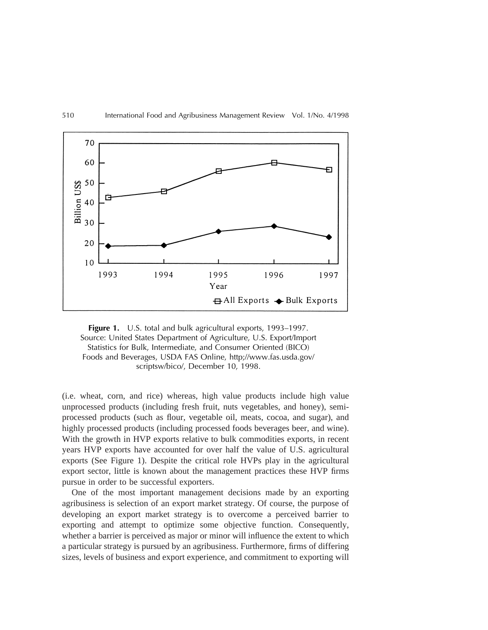



(i.e. wheat, corn, and rice) whereas, high value products include high value unprocessed products (including fresh fruit, nuts vegetables, and honey), semiprocessed products (such as flour, vegetable oil, meats, cocoa, and sugar), and highly processed products (including processed foods beverages beer, and wine). With the growth in HVP exports relative to bulk commodities exports, in recent years HVP exports have accounted for over half the value of U.S. agricultural exports (See Figure 1). Despite the critical role HVPs play in the agricultural export sector, little is known about the management practices these HVP firms pursue in order to be successful exporters.

One of the most important management decisions made by an exporting agribusiness is selection of an export market strategy. Of course, the purpose of developing an export market strategy is to overcome a perceived barrier to exporting and attempt to optimize some objective function. Consequently, whether a barrier is perceived as major or minor will influence the extent to which a particular strategy is pursued by an agribusiness. Furthermore, firms of differing sizes, levels of business and export experience, and commitment to exporting will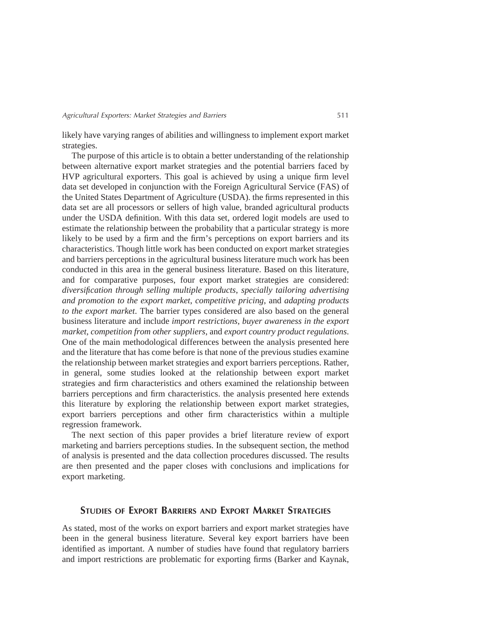likely have varying ranges of abilities and willingness to implement export market strategies.

The purpose of this article is to obtain a better understanding of the relationship between alternative export market strategies and the potential barriers faced by HVP agricultural exporters. This goal is achieved by using a unique firm level data set developed in conjunction with the Foreign Agricultural Service (FAS) of the United States Department of Agriculture (USDA). the firms represented in this data set are all processors or sellers of high value, branded agricultural products under the USDA definition. With this data set, ordered logit models are used to estimate the relationship between the probability that a particular strategy is more likely to be used by a firm and the firm's perceptions on export barriers and its characteristics. Though little work has been conducted on export market strategies and barriers perceptions in the agricultural business literature much work has been conducted in this area in the general business literature. Based on this literature, and for comparative purposes, four export market strategies are considered: *diversification through selling multiple products*, *specially tailoring advertising and promotion to the export market*, *competitive pricing*, and *adapting products to the export market*. The barrier types considered are also based on the general business literature and include *import restrictions*, *buyer awareness in the export market*, *competition from other suppliers*, and *export country product regulations*. One of the main methodological differences between the analysis presented here and the literature that has come before is that none of the previous studies examine the relationship between market strategies and export barriers perceptions. Rather, in general, some studies looked at the relationship between export market strategies and firm characteristics and others examined the relationship between barriers perceptions and firm characteristics. the analysis presented here extends this literature by exploring the relationship between export market strategies, export barriers perceptions and other firm characteristics within a multiple regression framework.

The next section of this paper provides a brief literature review of export marketing and barriers perceptions studies. In the subsequent section, the method of analysis is presented and the data collection procedures discussed. The results are then presented and the paper closes with conclusions and implications for export marketing.

# **STUDIES OF EXPORT BARRIERS AND EXPORT MARKET STRATEGIES**

As stated, most of the works on export barriers and export market strategies have been in the general business literature. Several key export barriers have been identified as important. A number of studies have found that regulatory barriers and import restrictions are problematic for exporting firms (Barker and Kaynak,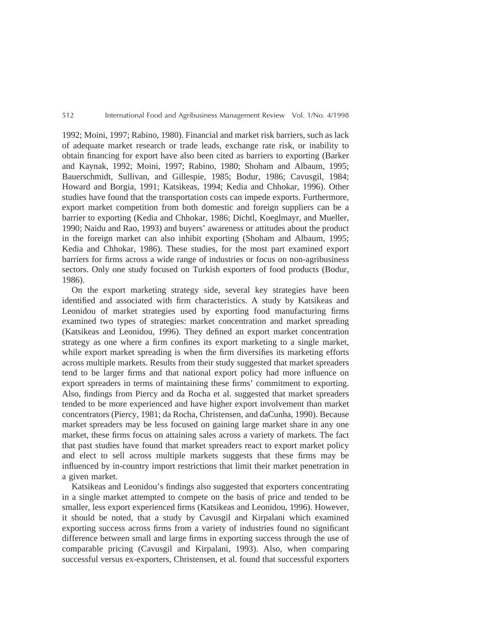1992; Moini, 1997; Rabino, 1980). Financial and market risk barriers, such as lack of adequate market research or trade leads, exchange rate risk, or inability to obtain financing for export have also been cited as barriers to exporting (Barker and Kaynak, 1992; Moini, 1997; Rabino, 1980; Shoham and Albaum, 1995; Bauerschmidt, Sullivan, and Gillespie, 1985; Bodur, 1986; Cavusgil, 1984; Howard and Borgia, 1991; Katsikeas, 1994; Kedia and Chhokar, 1996). Other studies have found that the transportation costs can impede exports. Furthermore, export market competition from both domestic and foreign suppliers can be a barrier to exporting (Kedia and Chhokar, 1986; Dichtl, Koeglmayr, and Mueller, 1990; Naidu and Rao, 1993) and buyers' awareness or attitudes about the product in the foreign market can also inhibit exporting (Shoham and Albaum, 1995; Kedia and Chhokar, 1986). These studies, for the most part examined export barriers for firms across a wide range of industries or focus on non-agribusiness sectors. Only one study focused on Turkish exporters of food products (Bodur, 1986).

On the export marketing strategy side, several key strategies have been identified and associated with firm characteristics. A study by Katsikeas and Leonidou of market strategies used by exporting food manufacturing firms examined two types of strategies: market concentration and market spreading (Katsikeas and Leonidou, 1996). They defined an export market concentration strategy as one where a firm confines its export marketing to a single market, while export market spreading is when the firm diversifies its marketing efforts across multiple markets. Results from their study suggested that market spreaders tend to be larger firms and that national export policy had more influence on export spreaders in terms of maintaining these firms' commitment to exporting. Also, findings from Piercy and da Rocha et al. suggested that market spreaders tended to be more experienced and have higher export involvement than market concentrators (Piercy, 1981; da Rocha, Christensen, and daCunha, 1990). Because market spreaders may be less focused on gaining large market share in any one market, these firms focus on attaining sales across a variety of markets. The fact that past studies have found that market spreaders react to export market policy and elect to sell across multiple markets suggests that these firms may be influenced by in-country import restrictions that limit their market penetration in a given market.

Katsikeas and Leonidou's findings also suggested that exporters concentrating in a single market attempted to compete on the basis of price and tended to be smaller, less export experienced firms (Katsikeas and Leonidou, 1996). However, it should be noted, that a study by Cavusgil and Kirpalani which examined exporting success across firms from a variety of industries found no significant difference between small and large firms in exporting success through the use of comparable pricing (Cavusgil and Kirpalani, 1993). Also, when comparing successful versus ex-exporters, Christensen, et al. found that successful exporters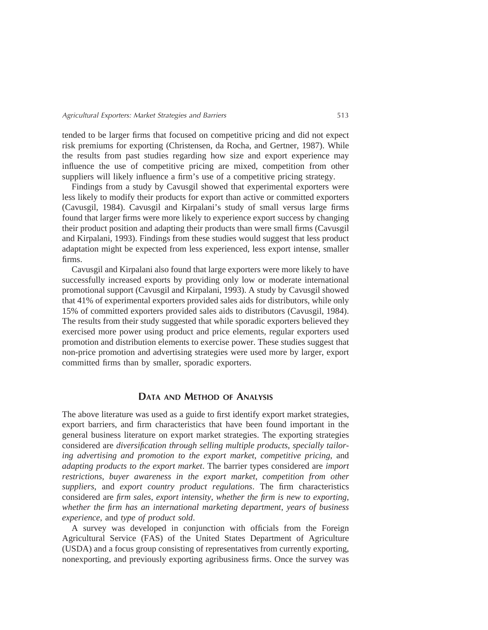tended to be larger firms that focused on competitive pricing and did not expect risk premiums for exporting (Christensen, da Rocha, and Gertner, 1987). While the results from past studies regarding how size and export experience may influence the use of competitive pricing are mixed, competition from other suppliers will likely influence a firm's use of a competitive pricing strategy.

Findings from a study by Cavusgil showed that experimental exporters were less likely to modify their products for export than active or committed exporters (Cavusgil, 1984). Cavusgil and Kirpalani's study of small versus large firms found that larger firms were more likely to experience export success by changing their product position and adapting their products than were small firms (Cavusgil and Kirpalani, 1993). Findings from these studies would suggest that less product adaptation might be expected from less experienced, less export intense, smaller firms.

Cavusgil and Kirpalani also found that large exporters were more likely to have successfully increased exports by providing only low or moderate international promotional support (Cavusgil and Kirpalani, 1993). A study by Cavusgil showed that 41% of experimental exporters provided sales aids for distributors, while only 15% of committed exporters provided sales aids to distributors (Cavusgil, 1984). The results from their study suggested that while sporadic exporters believed they exercised more power using product and price elements, regular exporters used promotion and distribution elements to exercise power. These studies suggest that non-price promotion and advertising strategies were used more by larger, export committed firms than by smaller, sporadic exporters.

### **DATA AND METHOD OF ANALYSIS**

The above literature was used as a guide to first identify export market strategies, export barriers, and firm characteristics that have been found important in the general business literature on export market strategies. The exporting strategies considered are *diversification through selling multiple products*, *specially tailoring advertising and promotion to the export market*, *competitive pricing*, and *adapting products to the export market*. The barrier types considered are *import restrictions*, *buyer awareness in the export market*, *competition from other suppliers*, and *export country product regulations*. The firm characteristics considered are *firm sales*, *export intensity*, *whether the firm is new to exporting*, *whether the firm has an international marketing department*, *years of business experience*, and *type of product sold*.

A survey was developed in conjunction with officials from the Foreign Agricultural Service (FAS) of the United States Department of Agriculture (USDA) and a focus group consisting of representatives from currently exporting, nonexporting, and previously exporting agribusiness firms. Once the survey was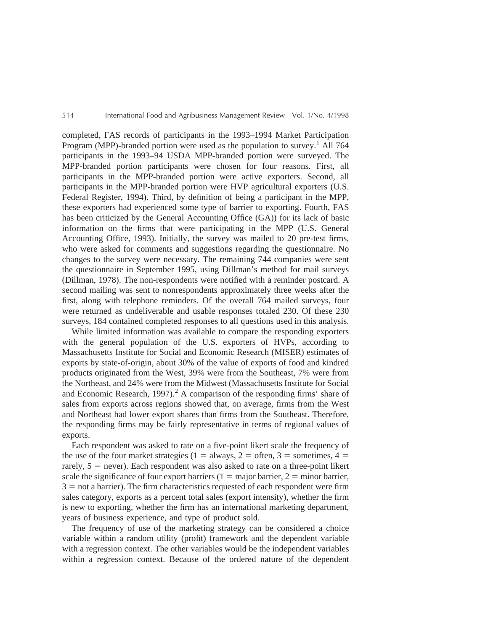completed, FAS records of participants in the 1993–1994 Market Participation Program (MPP)-branded portion were used as the population to survey.<sup>1</sup> All 764 participants in the 1993–94 USDA MPP-branded portion were surveyed. The MPP-branded portion participants were chosen for four reasons. First, all participants in the MPP-branded portion were active exporters. Second, all participants in the MPP-branded portion were HVP agricultural exporters (U.S. Federal Register, 1994). Third, by definition of being a participant in the MPP, these exporters had experienced some type of barrier to exporting. Fourth, FAS has been criticized by the General Accounting Office (GA)) for its lack of basic information on the firms that were participating in the MPP (U.S. General Accounting Office, 1993). Initially, the survey was mailed to 20 pre-test firms, who were asked for comments and suggestions regarding the questionnaire. No changes to the survey were necessary. The remaining 744 companies were sent the questionnaire in September 1995, using Dillman's method for mail surveys (Dillman, 1978). The non-respondents were notified with a reminder postcard. A second mailing was sent to nonrespondents approximately three weeks after the first, along with telephone reminders. Of the overall 764 mailed surveys, four were returned as undeliverable and usable responses totaled 230. Of these 230 surveys, 184 contained completed responses to all questions used in this analysis.

While limited information was available to compare the responding exporters with the general population of the U.S. exporters of HVPs, according to Massachusetts Institute for Social and Economic Research (MISER) estimates of exports by state-of-origin, about 30% of the value of exports of food and kindred products originated from the West, 39% were from the Southeast, 7% were from the Northeast, and 24% were from the Midwest (Massachusetts Institute for Social and Economic Research, 1997).<sup>2</sup> A comparison of the responding firms' share of sales from exports across regions showed that, on average, firms from the West and Northeast had lower export shares than firms from the Southeast. Therefore, the responding firms may be fairly representative in terms of regional values of exports.

Each respondent was asked to rate on a five-point likert scale the frequency of the use of the four market strategies (1 = always, 2 = often, 3 = sometimes, 4 = rarely,  $5 =$  never). Each respondent was also asked to rate on a three-point likert scale the significance of four export barriers ( $1 = \text{major barrier}$ ,  $2 = \text{minor barrier}$ ,  $3 =$  not a barrier). The firm characteristics requested of each respondent were firm sales category, exports as a percent total sales (export intensity), whether the firm is new to exporting, whether the firm has an international marketing department, years of business experience, and type of product sold.

The frequency of use of the marketing strategy can be considered a choice variable within a random utility (profit) framework and the dependent variable with a regression context. The other variables would be the independent variables within a regression context. Because of the ordered nature of the dependent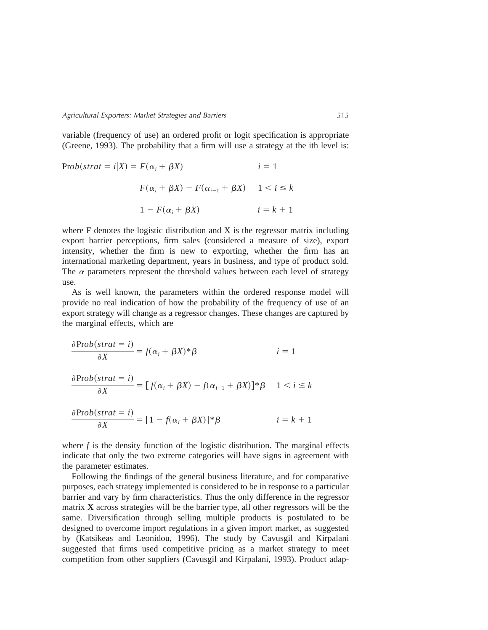variable (frequency of use) an ordered profit or logit specification is appropriate (Greene, 1993). The probability that a firm will use a strategy at the ith level is:

$$
\text{Prob}(\text{strat} = i | X) = F(\alpha_i + \beta X) \qquad i = 1
$$
\n
$$
F(\alpha_i + \beta X) - F(\alpha_{i-1} + \beta X) \qquad 1 < i \le k
$$
\n
$$
1 - F(\alpha_i + \beta X) \qquad i = k + 1
$$

where  $F$  denotes the logistic distribution and  $X$  is the regressor matrix including export barrier perceptions, firm sales (considered a measure of size), export intensity, whether the firm is new to exporting, whether the firm has an international marketing department, years in business, and type of product sold. The  $\alpha$  parameters represent the threshold values between each level of strategy use.

As is well known, the parameters within the ordered response model will provide no real indication of how the probability of the frequency of use of an export strategy will change as a regressor changes. These changes are captured by the marginal effects, which are

$$
\frac{\partial \text{Prob}(strat = i)}{\partial X} = f(\alpha_i + \beta X)^* \beta \qquad i = 1
$$

$$
\frac{\partial \text{Prob}(\text{strat} = i)}{\partial X} = [f(\alpha_i + \beta X) - f(\alpha_{i-1} + \beta X)]^* \beta \quad 1 < i \le k
$$

$$
\frac{\partial \text{Prob}(\text{strat} = i)}{\partial X} = [1 - f(\alpha_i + \beta X)]^* \beta \qquad i = k + 1
$$

where *f* is the density function of the logistic distribution. The marginal effects indicate that only the two extreme categories will have signs in agreement with the parameter estimates.

Following the findings of the general business literature, and for comparative purposes, each strategy implemented is considered to be in response to a particular barrier and vary by firm characteristics. Thus the only difference in the regressor matrix **X** across strategies will be the barrier type, all other regressors will be the same. Diversification through selling multiple products is postulated to be designed to overcome import regulations in a given import market, as suggested by (Katsikeas and Leonidou, 1996). The study by Cavusgil and Kirpalani suggested that firms used competitive pricing as a market strategy to meet competition from other suppliers (Cavusgil and Kirpalani, 1993). Product adap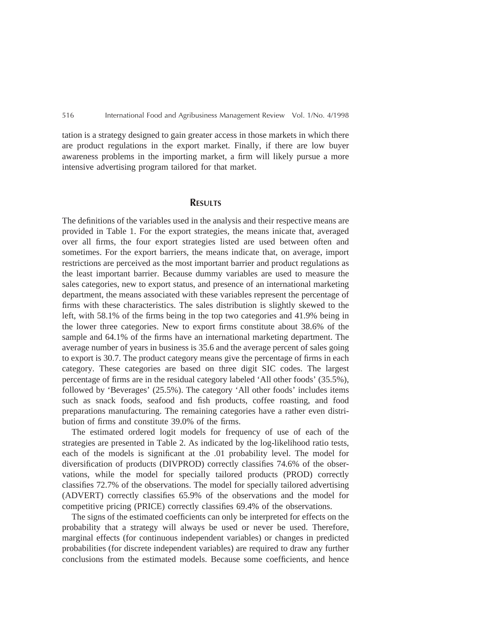516 International Food and Agribusiness Management Review Vol. 1/No. 4/1998

tation is a strategy designed to gain greater access in those markets in which there are product regulations in the export market. Finally, if there are low buyer awareness problems in the importing market, a firm will likely pursue a more intensive advertising program tailored for that market.

### **RESULTS**

The definitions of the variables used in the analysis and their respective means are provided in Table 1. For the export strategies, the means inicate that, averaged over all firms, the four export strategies listed are used between often and sometimes. For the export barriers, the means indicate that, on average, import restrictions are perceived as the most important barrier and product regulations as the least important barrier. Because dummy variables are used to measure the sales categories, new to export status, and presence of an international marketing department, the means associated with these variables represent the percentage of firms with these characteristics. The sales distribution is slightly skewed to the left, with 58.1% of the firms being in the top two categories and 41.9% being in the lower three categories. New to export firms constitute about 38.6% of the sample and 64.1% of the firms have an international marketing department. The average number of years in business is 35.6 and the average percent of sales going to export is 30.7. The product category means give the percentage of firms in each category. These categories are based on three digit SIC codes. The largest percentage of firms are in the residual category labeled 'All other foods' (35.5%), followed by 'Beverages' (25.5%). The category 'All other foods' includes items such as snack foods, seafood and fish products, coffee roasting, and food preparations manufacturing. The remaining categories have a rather even distribution of firms and constitute 39.0% of the firms.

The estimated ordered logit models for frequency of use of each of the strategies are presented in Table 2. As indicated by the log-likelihood ratio tests, each of the models is significant at the .01 probability level. The model for diversification of products (DIVPROD) correctly classifies 74.6% of the observations, while the model for specially tailored products (PROD) correctly classifies 72.7% of the observations. The model for specially tailored advertising (ADVERT) correctly classifies 65.9% of the observations and the model for competitive pricing (PRICE) correctly classifies 69.4% of the observations.

The signs of the estimated coefficients can only be interpreted for effects on the probability that a strategy will always be used or never be used. Therefore, marginal effects (for continuous independent variables) or changes in predicted probabilities (for discrete independent variables) are required to draw any further conclusions from the estimated models. Because some coefficients, and hence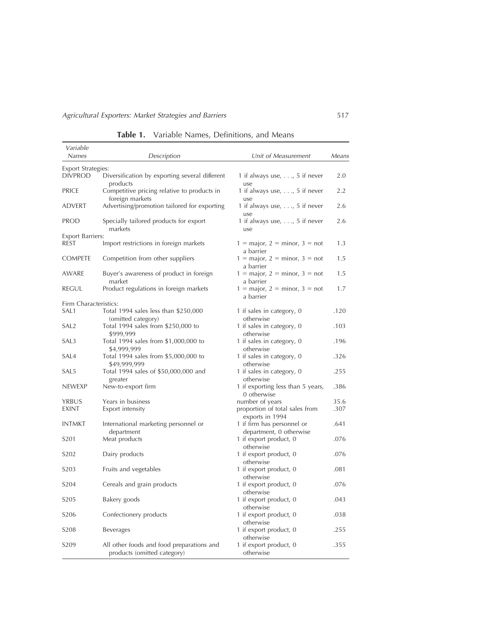| Variable<br><b>Names</b>  | Description                                                              | Unit of Measurement                                               | Means |
|---------------------------|--------------------------------------------------------------------------|-------------------------------------------------------------------|-------|
| <b>Export Strategies:</b> |                                                                          |                                                                   |       |
| <b>DIVPROD</b>            | Diversification by exporting several different<br>products               | 1 if always use, $\ldots$ , 5 if never<br>use                     | 2.0   |
| <b>PRICE</b>              | Competitive pricing relative to products in<br>foreign markets           | 1 if always use, $\dots$ , 5 if never<br>use                      | 2.2   |
| ADVERT                    | Advertising/promotion tailored for exporting                             | 1 if always use, $\ldots$ , 5 if never<br>use                     | 2.6   |
| <b>PROD</b>               | Specially tailored products for export<br>markets                        | 1 if always use, $\dots$ , 5 if never<br>use                      | 2.6   |
| <b>Export Barriers:</b>   |                                                                          |                                                                   |       |
| <b>REST</b>               | Import restrictions in foreign markets                                   | $1 = \text{major}, 2 = \text{minor}, 3 = \text{not}$<br>a barrier | 1.3   |
| <b>COMPETE</b>            | Competition from other suppliers                                         | $1 = \text{major}, 2 = \text{minor}, 3 = \text{not}$<br>a barrier | 1.5   |
| <b>AWARE</b>              | Buyer's awareness of product in foreign<br>market                        | $1 = \text{major}, 2 = \text{minor}, 3 = \text{not}$<br>a barrier | 1.5   |
| REGUL                     | Product regulations in foreign markets                                   | $1 = \text{major}, 2 = \text{minor}, 3 = \text{not}$<br>a barrier | 1.7   |
| Firm Characteristics:     |                                                                          |                                                                   |       |
| SAL1                      | Total 1994 sales less than \$250,000<br>(omitted category)               | 1 if sales in category, 0<br>otherwise                            | .120  |
| SAL2                      | Total 1994 sales from \$250,000 to<br>\$999,999                          | 1 if sales in category, 0<br>otherwise                            | .103  |
| SAL3                      | Total 1994 sales from \$1,000,000 to<br>\$4,999,999                      | 1 if sales in category, 0<br>otherwise                            | .196  |
| SAL4                      | Total 1994 sales from \$5,000,000 to<br>\$49,999,999                     | 1 if sales in category, 0<br>otherwise                            | .326  |
| SAL <sub>5</sub>          | Total 1994 sales of \$50,000,000 and<br>greater                          | 1 if sales in category, 0<br>otherwise                            | .255  |
| NEWEXP                    | New-to-export firm                                                       | 1 if exporting less than 5 years,<br>0 otherwise                  | .386  |
| YRBUS                     | Years in business                                                        | number of years                                                   | 35.6  |
| <b>EXINT</b>              | Export intensity                                                         | proportion of total sales from<br>exports in 1994                 | .307  |
| <b>INTMKT</b>             | International marketing personnel or<br>department                       | 1 if firm has personnel or<br>department, 0 otherwise             | .641  |
| S <sub>201</sub>          | Meat products                                                            | 1 if export product, 0<br>otherwise                               | .076  |
| S202                      | Dairy products                                                           | 1 if export product, 0<br>otherwise                               | .076  |
| S <sub>2</sub> 03         | Fruits and vegetables                                                    | 1 if export product, 0<br>otherwise                               | .081  |
| S204                      | Cereals and grain products                                               | 1 if export product, 0<br>otherwise                               | .076  |
| S205                      | Bakery goods                                                             | 1 if export product, 0<br>otherwise                               | .043  |
| S206                      | Confectionery products                                                   | 1 if export product, 0<br>otherwise                               | .038  |
| S208                      | <b>Beverages</b>                                                         | 1 if export product, 0<br>otherwise                               | .255  |
| S <sub>209</sub>          | All other foods and food preparations and<br>products (omitted category) | 1 if export product, 0<br>otherwise                               | .355  |

**Table 1.** Variable Names, Definitions, and Means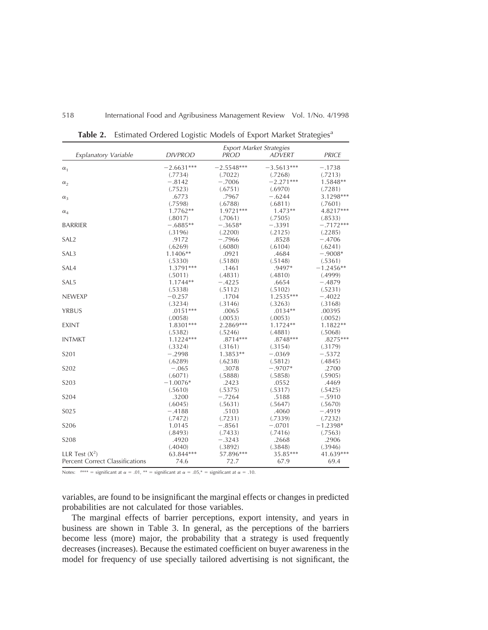|                                        |                | <b>Export Market Strategies</b> |               |                      |
|----------------------------------------|----------------|---------------------------------|---------------|----------------------|
| Explanatory Variable                   | <b>DIVPROD</b> | <b>PROD</b>                     | <b>ADVERT</b> | <b>PRICE</b>         |
| $\alpha_1$                             | $-2.6631***$   | $-2.5548***$                    | $-3.5613***$  | $-.1738$             |
|                                        | (.7734)        | (.7022)                         | (.7268)       | (.7213)              |
| $\alpha_{2}$                           | $-.8142$       | $-.7006$                        | $-2.271***$   | 1.5848**             |
|                                        | (.7523)        | (.6751)                         | (.6970)       | (.7281)              |
| $\alpha_3$                             | .6773          | .7967                           | $-.6244$      | 3.1298***            |
|                                        | (.7598)        | (.6788)                         | (.6811)       | (.7601)              |
| $\alpha_4$                             | 1.7762**       | 1.9721***                       | $1.473**$     | 4.8217***            |
|                                        | (.8017)        | (.7061)                         | (.7505)       | (.8533)              |
| <b>BARRIER</b>                         | $-.6885**$     | $-.3658*$                       | $-.3391$      | $-.7172***$          |
|                                        | (.3196)        | (.2200)                         | (.2125)       | (.2285)              |
| SAL <sub>2</sub>                       | .9172          | $-.7966$                        | .8528         | $-.4706$             |
|                                        | (.6269)        | (.6080)                         | (.6104)       | (.6241)              |
| SAL <sub>3</sub>                       | $1.1406**$     | .0921                           | .4684         | $-.9008*$            |
|                                        | (.5330)        | (.5180)                         | (.5148)       | (.5361)              |
| SAL <sub>4</sub>                       | 1.3791***      | .1461                           | .9497*        | $-1.2456**$          |
|                                        | (.5011)        | (.4831)                         | (.4810)       | (.4999)              |
| SAL <sub>5</sub>                       | 1.1744**       | $-.4225$                        | .6654         | $-.4879$             |
|                                        | (.5338)        | (.5112)                         | (.5102)       | (.5231)              |
| <b>NEWEXP</b>                          | $-0.257$       | .1704                           | $1.2535***$   | $-.4022$             |
|                                        | (.3234)        | (.3146)                         | (.3263)       | (.3168)              |
| YRBUS                                  | $.0151***$     | .0065                           | $.0134**$     | .00395               |
|                                        | (.0058)        | (.0053)                         | (.0053)       | (.0052)              |
| <b>EXINT</b>                           | $1.8301***$    | 2.2869***                       | $1.1724**$    | 1.1822**             |
|                                        | (.5382)        | (.5246)                         | (.4881)       | (.5068)              |
| <b>INTMKT</b>                          | $1.1224***$    | $.8714***$                      | $.8748***$    | $.8275***$           |
|                                        | (.3324)        | (.3161)                         | (.3154)       | (.3179)              |
| S <sub>201</sub>                       | $-.2998$       | 1.3853**                        | $-.0369$      | $-.5372$             |
|                                        | (.6289)        | (.6238)                         | (.5812)       | (.4845)              |
| S202                                   | $-.065$        | .3078                           | $-.9707*$     | .2700                |
|                                        | (.6071)        | (.5888)                         | (.5858)       | (.5905)              |
| S <sub>2</sub> 0 <sub>3</sub>          | $-1.0076*$     | .2423                           | .0552         | .4469                |
|                                        | (.5610)        | (.5375)                         | (.5317)       | (.5425)              |
| S <sub>2</sub> 04                      | .3200          | $-.7264$                        | .5188         | $-.5910$             |
|                                        | (.6045)        | (.5631)                         | (.5647)       | (.5670)              |
| S <sub>025</sub>                       | $-.4188$       | .5103                           | .4060         | $-.4919$             |
|                                        | (.7472)        | (.7231)                         | (.7339)       | (.7232)              |
| S <sub>206</sub>                       | 1.0145         | $-.8561$                        | $-.0701$      | $-1.2398*$           |
|                                        | (.8493)        | (.7433)                         | (.7416)       | (.7563)              |
| S208                                   | .4920          | $-.3243$                        | .2668         | .2906                |
| LLR Test $(X^2)$                       | (.4040)        | (.3892)                         | (.3848)       | (.3946)<br>41.639*** |
| <b>Percent Correct Classifications</b> | 63.844***      | 57.896***                       | 35.85***      |                      |
|                                        | 74.6           | 72.7                            | 67.9          | 69.4                 |

Table 2. Estimated Ordered Logistic Models of Export Market Strategies<sup>a</sup>

Notes:  $a_{***}$  = significant at  $\alpha$  = .01, \*\* = significant at  $\alpha$  = .05,\* = significant at  $\alpha$  = .10.

variables, are found to be insignificant the marginal effects or changes in predicted probabilities are not calculated for those variables.

The marginal effects of barrier perceptions, export intensity, and years in business are shown in Table 3. In general, as the perceptions of the barriers become less (more) major, the probability that a strategy is used frequently decreases (increases). Because the estimated coefficient on buyer awareness in the model for frequency of use specially tailored advertising is not significant, the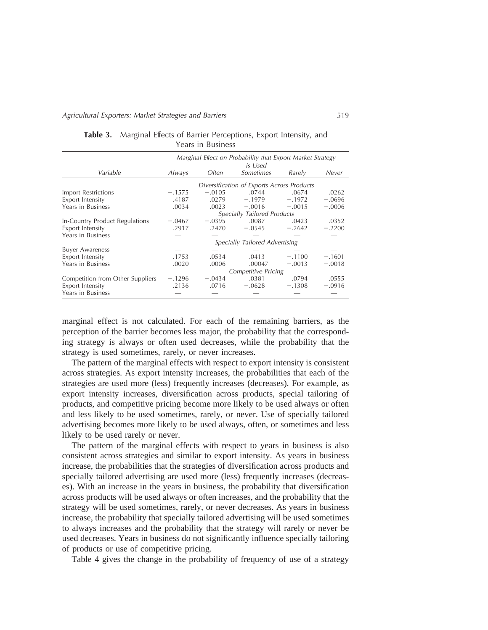|                                  | Marginal Effect on Probability that Export Market Strategy<br>is Used |              |                             |          |          |  |
|----------------------------------|-----------------------------------------------------------------------|--------------|-----------------------------|----------|----------|--|
| Variable                         | Always                                                                | <i>Often</i> | Sometimes                   | Rarely   | Never    |  |
|                                  | Diversification of Exports Across Products                            |              |                             |          |          |  |
| Import Restrictions              | $-.1575$                                                              | $-.0105$     | .0744                       | .0674    | .0262    |  |
| Export Intensity                 | .4187                                                                 | .0279        | $-.1979$                    | $-.1972$ | $-.0696$ |  |
| Years in Business                | .0034                                                                 | .0023        | $-.0016$                    | $-.0015$ | $-.0006$ |  |
|                                  |                                                                       |              | Specially Tailored Products |          |          |  |
| In-Country Product Regulations   | $-.0467$                                                              | $-.0395$     | .0087                       | .0423    | .0352    |  |
| Export Intensity                 | .2917                                                                 | .2470        | $-.0545$                    | $-.2642$ | $-.2200$ |  |
| Years in Business                |                                                                       |              |                             |          |          |  |
|                                  | Specially Tailored Advertising                                        |              |                             |          |          |  |
| <b>Buyer Awareness</b>           |                                                                       |              |                             |          |          |  |
| Export Intensity                 | .1753                                                                 | .0534        | .0413                       | $-.1100$ | $-.1601$ |  |
| Years in Business                | .0020                                                                 | .0006        | .00047                      | $-.0013$ | $-.0018$ |  |
|                                  | <b>Competitive Pricing</b>                                            |              |                             |          |          |  |
| Competition from Other Suppliers | $-.1296$                                                              | $-.0434$     | .0381                       | .0794    | .0555    |  |
| Export Intensity                 | .2136                                                                 | .0716        | $-.0628$                    | $-.1308$ | $-.0916$ |  |
| Years in Business                |                                                                       |              |                             |          |          |  |

**Table 3.** Marginal Effects of Barrier Perceptions, Export Intensity, and Years in Business

marginal effect is not calculated. For each of the remaining barriers, as the perception of the barrier becomes less major, the probability that the corresponding strategy is always or often used decreases, while the probability that the strategy is used sometimes, rarely, or never increases.

The pattern of the marginal effects with respect to export intensity is consistent across strategies. As export intensity increases, the probabilities that each of the strategies are used more (less) frequently increases (decreases). For example, as export intensity increases, diversification across products, special tailoring of products, and competitive pricing become more likely to be used always or often and less likely to be used sometimes, rarely, or never. Use of specially tailored advertising becomes more likely to be used always, often, or sometimes and less likely to be used rarely or never.

The pattern of the marginal effects with respect to years in business is also consistent across strategies and similar to export intensity. As years in business increase, the probabilities that the strategies of diversification across products and specially tailored advertising are used more (less) frequently increases (decreases). With an increase in the years in business, the probability that diversification across products will be used always or often increases, and the probability that the strategy will be used sometimes, rarely, or never decreases. As years in business increase, the probability that specially tailored advertising will be used sometimes to always increases and the probability that the strategy will rarely or never be used decreases. Years in business do not significantly influence specially tailoring of products or use of competitive pricing.

Table 4 gives the change in the probability of frequency of use of a strategy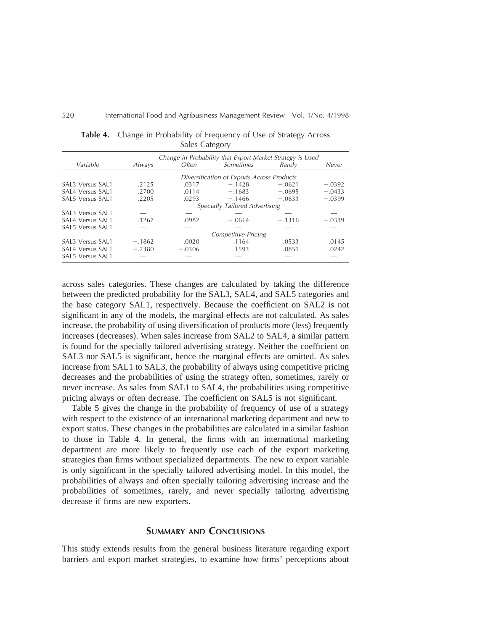|                         |          |                                                           | $\lambda$<br>$\overline{\phantom{a}}$ |          |          |  |
|-------------------------|----------|-----------------------------------------------------------|---------------------------------------|----------|----------|--|
|                         |          | Change in Probability that Export Market Strategy is Used |                                       |          |          |  |
| Variable                | Always   | Often                                                     | Sometimes                             | Rarely   | Never    |  |
|                         |          | Diversification of Exports Across Products                |                                       |          |          |  |
| SAL3 Versus SAL1        | .2125    | .0317                                                     | $-.1428$                              | $-.0621$ | $-.0392$ |  |
| <b>SAL4 Versus SAL1</b> | .2700    | .0114                                                     | $-.1683$                              | $-.0695$ | $-.0433$ |  |
| SAL5 Versus SAL1        | .2205    | .0293                                                     | $-.1466$                              | $-.0633$ | $-.0399$ |  |
|                         |          |                                                           | Specially Tailored Advertising        |          |          |  |
| SAL3 Versus SAL1        |          |                                                           |                                       |          |          |  |
| SAL4 Versus SAL1        | .1267    | .0982                                                     | $-.0614$                              | $-.1316$ | $-.0319$ |  |
| SAL5 Versus SAL1        |          |                                                           |                                       |          |          |  |
|                         |          | <b>Competitive Pricing</b>                                |                                       |          |          |  |
| SAL3 Versus SAL1        | $-.1862$ | .0020                                                     | .1164                                 | .0533    | .0145    |  |
| <b>SAL4 Versus SAL1</b> | $-.2380$ | $-.0306$                                                  | .1593                                 | .0851    | .0242    |  |
| <b>SAL5 Versus SAL1</b> |          |                                                           |                                       |          |          |  |

**Table 4.** Change in Probability of Frequency of Use of Strategy Across Sales Category

across sales categories. These changes are calculated by taking the difference between the predicted probability for the SAL3, SAL4, and SAL5 categories and the base category SAL1, respectively. Because the coefficient on SAL2 is not significant in any of the models, the marginal effects are not calculated. As sales increase, the probability of using diversification of products more (less) frequently increases (decreases). When sales increase from SAL2 to SAL4, a similar pattern is found for the specially tailored advertising strategy. Neither the coefficient on SAL3 nor SAL5 is significant, hence the marginal effects are omitted. As sales increase from SAL1 to SAL3, the probability of always using competitive pricing decreases and the probabilities of using the strategy often, sometimes, rarely or never increase. As sales from SAL1 to SAL4, the probabilities using competitive pricing always or often decrease. The coefficient on SAL5 is not significant.

Table 5 gives the change in the probability of frequency of use of a strategy with respect to the existence of an international marketing department and new to export status. These changes in the probabilities are calculated in a similar fashion to those in Table 4. In general, the firms with an international marketing department are more likely to frequently use each of the export marketing strategies than firms without specialized departments. The new to export variable is only significant in the specially tailored advertising model. In this model, the probabilities of always and often specially tailoring advertising increase and the probabilities of sometimes, rarely, and never specially tailoring advertising decrease if firms are new exporters.

#### **SUMMARY AND CONCLUSIONS**

This study extends results from the general business literature regarding export barriers and export market strategies, to examine how firms' perceptions about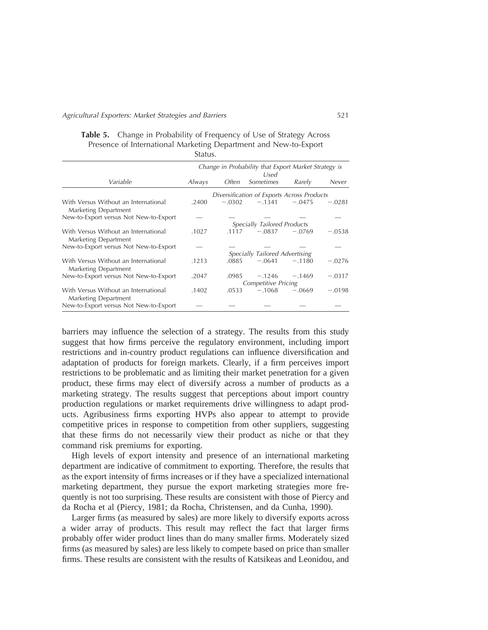|                                                              | Change in Probability that Export Market Strategy is<br>Used |          |                                |          |          |  |
|--------------------------------------------------------------|--------------------------------------------------------------|----------|--------------------------------|----------|----------|--|
| Variable                                                     | Always                                                       | Often    | Sometimes                      | Rarely   | Never    |  |
|                                                              | Diversification of Exports Across Products                   |          |                                |          |          |  |
| With Versus Without an International<br>Marketing Department | .2400                                                        | $-.0302$ | $-.1341$                       | $-.0475$ | $-.0281$ |  |
| New-to-Export versus Not New-to-Export                       |                                                              |          |                                |          |          |  |
|                                                              | Specially Tailored Products                                  |          |                                |          |          |  |
| With Versus Without an International<br>Marketing Department | .1027                                                        | .1117    | $-.0837$                       | $-.0769$ | $-.0538$ |  |
| New-to-Export versus Not New-to-Export                       |                                                              |          |                                |          |          |  |
|                                                              |                                                              |          | Specially Tailored Advertising |          |          |  |
| With Versus Without an International<br>Marketing Department | .1213                                                        | .0885    | $-.0641$                       | $-.1180$ | $-.0276$ |  |
| New-to-Export versus Not New-to-Export                       | .2047                                                        | .0985    | $-.1246$                       | $-.1469$ | $-.0317$ |  |
|                                                              | <b>Competitive Pricing</b>                                   |          |                                |          |          |  |
| With Versus Without an International<br>Marketing Department | .1402                                                        | .0533    | $-.1068$                       | $-.0669$ | $-.0198$ |  |
| New-to-Export versus Not New-to-Export                       |                                                              |          |                                |          |          |  |

**Table 5.** Change in Probability of Frequency of Use of Strategy Across Presence of International Marketing Department and New-to-Export Status.

barriers may influence the selection of a strategy. The results from this study suggest that how firms perceive the regulatory environment, including import restrictions and in-country product regulations can influence diversification and adaptation of products for foreign markets. Clearly, if a firm perceives import restrictions to be problematic and as limiting their market penetration for a given product, these firms may elect of diversify across a number of products as a marketing strategy. The results suggest that perceptions about import country production regulations or market requirements drive willingness to adapt products. Agribusiness firms exporting HVPs also appear to attempt to provide competitive prices in response to competition from other suppliers, suggesting that these firms do not necessarily view their product as niche or that they command risk premiums for exporting.

High levels of export intensity and presence of an international marketing department are indicative of commitment to exporting. Therefore, the results that as the export intensity of firms increases or if they have a specialized international marketing department, they pursue the export marketing strategies more frequently is not too surprising. These results are consistent with those of Piercy and da Rocha et al (Piercy, 1981; da Rocha, Christensen, and da Cunha, 1990).

Larger firms (as measured by sales) are more likely to diversify exports across a wider array of products. This result may reflect the fact that larger firms probably offer wider product lines than do many smaller firms. Moderately sized firms (as measured by sales) are less likely to compete based on price than smaller firms. These results are consistent with the results of Katsikeas and Leonidou, and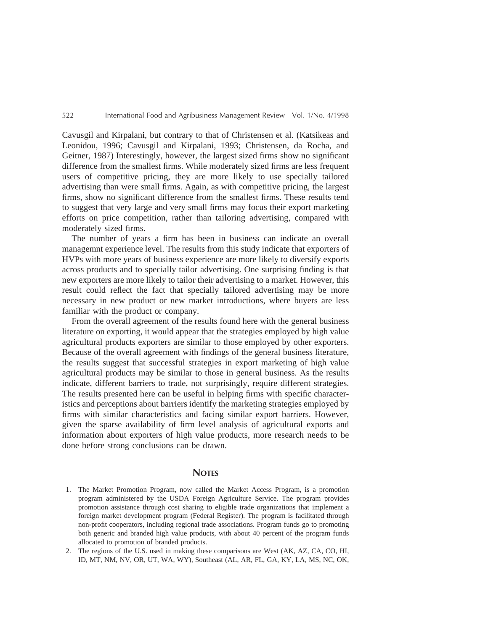Cavusgil and Kirpalani, but contrary to that of Christensen et al. (Katsikeas and Leonidou, 1996; Cavusgil and Kirpalani, 1993; Christensen, da Rocha, and Geitner, 1987) Interestingly, however, the largest sized firms show no significant difference from the smallest firms. While moderately sized firms are less frequent users of competitive pricing, they are more likely to use specially tailored advertising than were small firms. Again, as with competitive pricing, the largest firms, show no significant difference from the smallest firms. These results tend to suggest that very large and very small firms may focus their export marketing efforts on price competition, rather than tailoring advertising, compared with moderately sized firms.

The number of years a firm has been in business can indicate an overall managemnt experience level. The results from this study indicate that exporters of HVPs with more years of business experience are more likely to diversify exports across products and to specially tailor advertising. One surprising finding is that new exporters are more likely to tailor their advertising to a market. However, this result could reflect the fact that specially tailored advertising may be more necessary in new product or new market introductions, where buyers are less familiar with the product or company.

From the overall agreement of the results found here with the general business literature on exporting, it would appear that the strategies employed by high value agricultural products exporters are similar to those employed by other exporters. Because of the overall agreement with findings of the general business literature, the results suggest that successful strategies in export marketing of high value agricultural products may be similar to those in general business. As the results indicate, different barriers to trade, not surprisingly, require different strategies. The results presented here can be useful in helping firms with specific characteristics and perceptions about barriers identify the marketing strategies employed by firms with similar characteristics and facing similar export barriers. However, given the sparse availability of firm level analysis of agricultural exports and information about exporters of high value products, more research needs to be done before strong conclusions can be drawn.

# **NOTES**

- 1. The Market Promotion Program, now called the Market Access Program, is a promotion program administered by the USDA Foreign Agriculture Service. The program provides promotion assistance through cost sharing to eligible trade organizations that implement a foreign market development program (Federal Register). The program is facilitated through non-profit cooperators, including regional trade associations. Program funds go to promoting both generic and branded high value products, with about 40 percent of the program funds allocated to promotion of branded products.
- 2. The regions of the U.S. used in making these comparisons are West (AK, AZ, CA, CO, HI, ID, MT, NM, NV, OR, UT, WA, WY), Southeast (AL, AR, FL, GA, KY, LA, MS, NC, OK,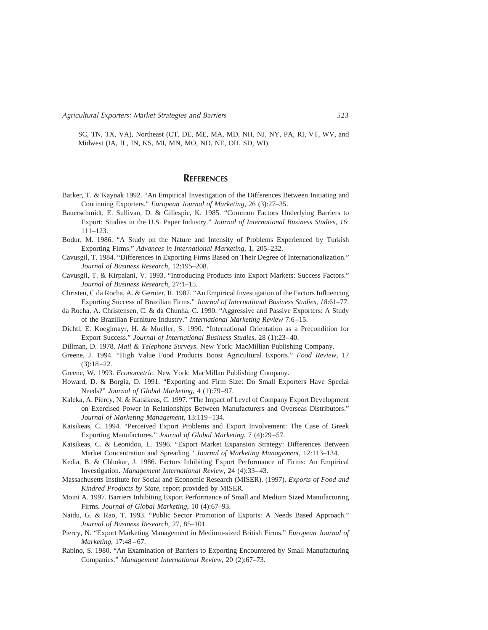SC, TN, TX, VA), Northeast (CT, DE, ME, MA, MD, NH, NJ, NY, PA, RI, VT, WV, and Midwest (IA, IL, IN, KS, MI, MN, MO, ND, NE, OH, SD, WI).

#### **REFERENCES**

- Barker, T. & Kaynak 1992. "An Empirical Investigation of the Differences Between Initiating and Continuing Exporters." *European Journal of Marketing*, 26 (3):27–35.
- Bauerschmidt, E. Sullivan, D. & Gillespie, K. 1985. "Common Factors Underlying Barriers to Export: Studies in the U.S. Paper Industry." *Journal of International Business Studies, 16*: 111–123.
- Bodur, M. 1986. "A Study on the Nature and Intensity of Problems Experienced by Turkish Exporting Firms." *Advances in International Marketing*, 1, 205–232.
- Cavusgil, T. 1984. "Differences in Exporting Firms Based on Their Degree of Internationalization." *Journal of Business Research*, 12:195–208.
- Cavusgil, T. & Kirpalani, V. 1993. "Introducing Products into Export Markets: Success Factors." *Journal of Business Research*, 27:1–15.
- Christen, C da Rocha, A. & Gernter, R. 1987. "An Empirical Investigation of the Factors Influencing Exporting Success of Brazilian Firms." *Journal of International Business Studies, 18*:61–77.
- da Rocha, A. Christensen, C. & da Chunha, C. 1990. "Aggressive and Passive Exporters: A Study of the Brazilian Furniture Industry." *International Marketing Review* 7:6–15.
- Dichtl, E. Koeglmayr, H. & Mueller, S. 1990. "International Orientation as a Precondition for Export Success." *Journal of International Business Studies*, 28 (1):23–40.
- Dillman, D. 1978. *Mail & Telephone Surveys*. New York: MacMillian Publishing Company.
- Greene, J. 1994. "High Value Food Products Boost Agricultural Exports." *Food Review*, 17 (3):18–22.
- Greene, W. 1993. *Econometric*. New York: MacMillan Publishing Company.
- Howard, D. & Borgia, D. 1991. "Exporting and Firm Size: Do Small Exporters Have Special Needs?" *Journal of Global Marketing*, 4 (1):79–97.
- Kaleka, A. Piercy, N. & Katsikeas, C. 1997. "The Impact of Level of Company Export Development on Exercised Power in Relationships Between Manufacturers and Overseas Distributors." *Journal of Marketing Management*, 13:119–134.
- Katsikeas, C. 1994. "Perceived Export Problems and Export Involvement: The Case of Greek Exporting Manufactures." *Journal of Global Marketing*, 7 (4):29–57.
- Katsikeas, C. & Leonidou, L. 1996. "Export Market Expansion Strategy: Differences Between Market Concentration and Spreading." *Journal of Marketing Management*, 12:113–134.
- Kedia, B. & Chhokar, J. 1986. Factors Inhibiting Export Performance of Firms: An Empirical Investigation. *Management International Review*, 24 (4):33–43.
- Massachusetts Institute for Social and Economic Research (MISER). (1997). *Exports of Food and Kindred Products by State*, report provided by MISER.
- Moini A. 1997. Barriers Inhibiting Export Performance of Small and Medium Sized Manufacturing Firms. *Journal of Global Marketing*, 10 (4):67–93.
- Naidu, G. & Rao, T. 1993. "Public Sector Promotion of Exports: A Needs Based Approach." *Journal of Business Research*, 27, 85–101.
- Piercy, N. "Export Marketing Management in Medium-sized British Firms." *European Journal of Marketing*, 17:48–67.
- Rabino, S. 1980. "An Examination of Barriers to Exporting Encountered by Small Manufacturing Companies." *Management International Review*, 20 (2):67–73.